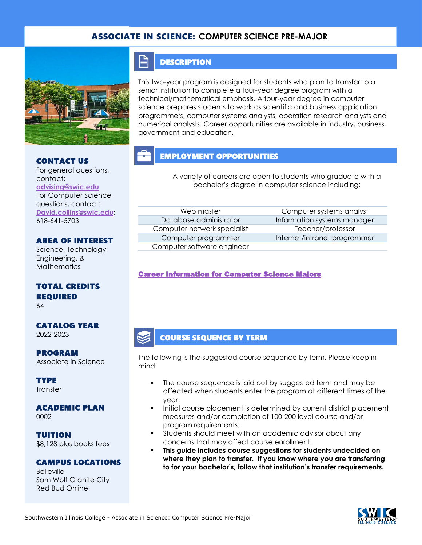### ASSOCIATE IN SCIENCE: **COMPUTER SCIENCE PRE-MAJOR**



### CONTACT US

For general questions, contact: **[advising@swic.edu](mailto:advising@swic.edu)** For Computer Science questions, contact: **[David.collins@swic.edu;](mailto:David.collins@swic.edu)** 618-641-5703

### AREA OF INTEREST

Science, Technology, Engineering, & **Mathematics** 

### TOTAL CREDITS REQUIRED

64

### CATALOG YEAR 2022-2023

PROGRAM Associate in Science

**TYPE Transfer** 

#### ACADEMIC PLAN 0002

TUITION \$8,128 plus books fees

### CAMPUS LOCATIONS

**Belleville** Sam Wolf Granite City Red Bud Online

### **DESCRIPTION**

FI

This two-year program is designed for students who plan to transfer to a senior institution to complete a four-year degree program with a technical/mathematical emphasis. A four-year degree in computer science prepares students to work as scientific and business application programmers, computer systems analysts, operation research analysts and numerical analysts. Career opportunities are available in industry, business, government and education.

## EMPLOYMENT OPPORTUNITIES

A variety of careers are open to students who graduate with a bachelor's degree in computer science including:

Computer network specialist Teacher/professor Computer software engineer

Web master **Computer systems analyst** Database administrator **Information systems manager** Computer programmer Internet/intranet programmer

### [Career Information for Computer Science Majors](https://www.onetonline.org/find/quick?s=computer+science)

### COURSE SEQUENCE BY TERM

The following is the suggested course sequence by term. Please keep in mind:

- The course sequence is laid out by suggested term and may be affected when students enter the program at different times of the year.
- Initial course placement is determined by current district placement measures and/or completion of 100-200 level course and/or program requirements.
- **•** Students should meet with an academic advisor about any concerns that may affect course enrollment.
- **This guide includes course suggestions for students undecided on where they plan to transfer. If you know where you are transferring to for your bachelor's, follow that institution's transfer requirements.**